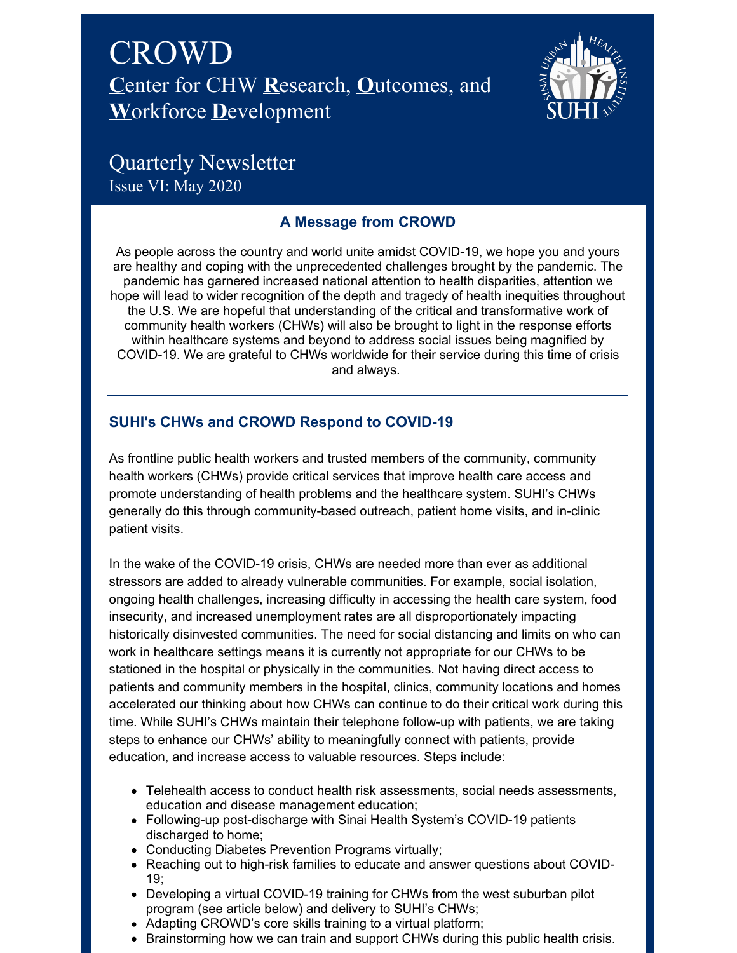



# Quarterly Newsletter Issue VI: May 2020

# **A Message from CROWD**

As people across the country and world unite amidst COVID-19, we hope you and yours are healthy and coping with the unprecedented challenges brought by the pandemic. The pandemic has garnered increased national attention to health disparities, attention we hope will lead to wider recognition of the depth and tragedy of health inequities throughout the U.S. We are hopeful that understanding of the critical and transformative work of community health workers (CHWs) will also be brought to light in the response efforts within healthcare systems and beyond to address social issues being magnified by COVID-19. We are grateful to CHWs worldwide for their service during this time of crisis and always.

# **SUHI's CHWs and CROWD Respond to COVID-19**

As frontline public health workers and trusted members of the community, community health workers (CHWs) provide critical services that improve health care access and promote understanding of health problems and the healthcare system. SUHI's CHWs generally do this through community-based outreach, patient home visits, and in-clinic patient visits.

In the wake of the COVID-19 crisis, CHWs are needed more than ever as additional stressors are added to already vulnerable communities. For example, social isolation, ongoing health challenges, increasing difficulty in accessing the health care system, food insecurity, and increased unemployment rates are all disproportionately impacting historically disinvested communities. The need for social distancing and limits on who can work in healthcare settings means it is currently not appropriate for our CHWs to be stationed in the hospital or physically in the communities. Not having direct access to patients and community members in the hospital, clinics, community locations and homes accelerated our thinking about how CHWs can continue to do their critical work during this time. While SUHI's CHWs maintain their telephone follow-up with patients, we are taking steps to enhance our CHWs' ability to meaningfully connect with patients, provide education, and increase access to valuable resources. Steps include:

- Telehealth access to conduct health risk assessments, social needs assessments, education and disease management education;
- Following-up post-discharge with Sinai Health System's COVID-19 patients discharged to home;
- Conducting Diabetes Prevention Programs virtually;
- Reaching out to high-risk families to educate and answer questions about COVID-19;
- Developing a virtual COVID-19 training for CHWs from the west suburban pilot program (see article below) and delivery to SUHI's CHWs;
- Adapting CROWD's core skills training to a virtual platform;
- Brainstorming how we can train and support CHWs during this public health crisis.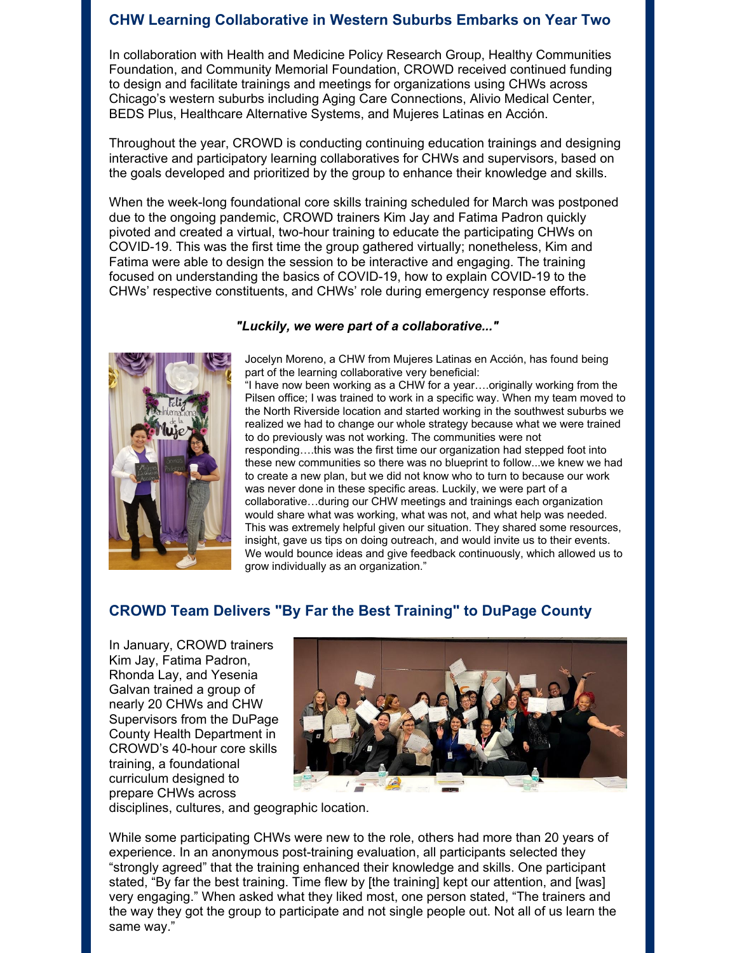### **CHW Learning Collaborative in Western Suburbs Embarks on Year Two**

In collaboration with Health and Medicine Policy Research Group, Healthy Communities Foundation, and Community Memorial Foundation, CROWD received continued funding to design and facilitate trainings and meetings for organizations using CHWs across Chicago's western suburbs including Aging Care Connections, Alivio Medical Center, BEDS Plus, Healthcare Alternative Systems, and Mujeres Latinas en Acción.

Throughout the year, CROWD is conducting continuing education trainings and designing interactive and participatory learning collaboratives for CHWs and supervisors, based on the goals developed and prioritized by the group to enhance their knowledge and skills.

When the week-long foundational core skills training scheduled for March was postponed due to the ongoing pandemic, CROWD trainers Kim Jay and Fatima Padron quickly pivoted and created a virtual, two-hour training to educate the participating CHWs on COVID-19. This was the first time the group gathered virtually; nonetheless, Kim and Fatima were able to design the session to be interactive and engaging. The training focused on understanding the basics of COVID-19, how to explain COVID-19 to the CHWs' respective constituents, and CHWs' role during emergency response efforts.

#### *"Luckily, we were part of a collaborative..."*



Jocelyn Moreno, a CHW from Mujeres Latinas en Acción, has found being part of the learning collaborative very beneficial:

"I have now been working as a CHW for a year….originally working from the Pilsen office; I was trained to work in a specific way. When my team moved to the North Riverside location and started working in the southwest suburbs we realized we had to change our whole strategy because what we were trained to do previously was not working. The communities were not responding….this was the first time our organization had stepped foot into these new communities so there was no blueprint to follow...we knew we had to create a new plan, but we did not know who to turn to because our work was never done in these specific areas. Luckily, we were part of a collaborative…during our CHW meetings and trainings each organization would share what was working, what was not, and what help was needed. This was extremely helpful given our situation. They shared some resources, insight, gave us tips on doing outreach, and would invite us to their events. We would bounce ideas and give feedback continuously, which allowed us to grow individually as an organization."

### **CROWD Team Delivers "By Far the Best Training" to DuPage County**

In January, CROWD trainers Kim Jay, Fatima Padron, Rhonda Lay, and Yesenia Galvan trained a group of nearly 20 CHWs and CHW Supervisors from the DuPage County Health Department in CROWD's 40-hour core skills training, a foundational curriculum designed to prepare CHWs across



disciplines, cultures, and geographic location.

While some participating CHWs were new to the role, others had more than 20 years of experience. In an anonymous post-training evaluation, all participants selected they "strongly agreed" that the training enhanced their knowledge and skills. One participant stated, "By far the best training. Time flew by [the training] kept our attention, and [was] very engaging." When asked what they liked most, one person stated, "The trainers and the way they got the group to participate and not single people out. Not all of us learn the same way."